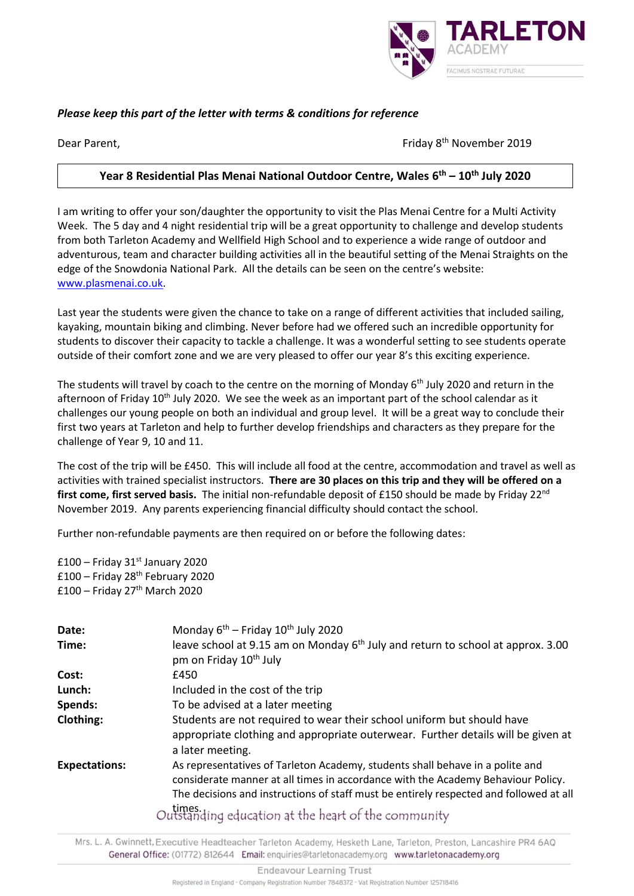

## *Please keep this part of the letter with terms & conditions for reference*

Dear Parent, Friday 8th November 2019

# **Year 8 Residential Plas Menai National Outdoor Centre, Wales 6 th – 10th July 2020**

I am writing to offer your son/daughter the opportunity to visit the Plas Menai Centre for a Multi Activity Week. The 5 day and 4 night residential trip will be a great opportunity to challenge and develop students from both Tarleton Academy and Wellfield High School and to experience a wide range of outdoor and adventurous, team and character building activities all in the beautiful setting of the Menai Straights on the edge of the Snowdonia National Park. All the details can be seen on the centre's website: [www.plasmenai.co.uk.](http://www.plasmenai.co.uk/)

Last year the students were given the chance to take on a range of different activities that included sailing, kayaking, mountain biking and climbing. Never before had we offered such an incredible opportunity for students to discover their capacity to tackle a challenge. It was a wonderful setting to see students operate outside of their comfort zone and we are very pleased to offer our year 8's this exciting experience.

The students will travel by coach to the centre on the morning of Monday 6<sup>th</sup> July 2020 and return in the afternoon of Friday  $10^{th}$  July 2020. We see the week as an important part of the school calendar as it challenges our young people on both an individual and group level. It will be a great way to conclude their first two years at Tarleton and help to further develop friendships and characters as they prepare for the challenge of Year 9, 10 and 11.

The cost of the trip will be £450. This will include all food at the centre, accommodation and travel as well as activities with trained specialist instructors. **There are 30 places on this trip and they will be offered on a**  first come, first served basis. The initial non-refundable deposit of £150 should be made by Friday 22<sup>nd</sup> November 2019. Any parents experiencing financial difficulty should contact the school.

Further non-refundable payments are then required on or before the following dates:

 $£100 -$  Friday 31st January 2020  $£100 - Friday 28<sup>th</sup> February 2020$  $£100 - Friday 27<sup>th</sup> March 2020$ 

| Monday $6^{th}$ – Friday 10 <sup>th</sup> July 2020                                                                                                                                                                                                                                                                         |
|-----------------------------------------------------------------------------------------------------------------------------------------------------------------------------------------------------------------------------------------------------------------------------------------------------------------------------|
| leave school at 9.15 am on Monday $6th$ July and return to school at approx. 3.00<br>pm on Friday 10 <sup>th</sup> July                                                                                                                                                                                                     |
| £450                                                                                                                                                                                                                                                                                                                        |
| Included in the cost of the trip                                                                                                                                                                                                                                                                                            |
| To be advised at a later meeting                                                                                                                                                                                                                                                                                            |
| Students are not required to wear their school uniform but should have<br>appropriate clothing and appropriate outerwear. Further details will be given at<br>a later meeting.                                                                                                                                              |
| As representatives of Tarleton Academy, students shall behave in a polite and<br>considerate manner at all times in accordance with the Academy Behaviour Policy.<br>The decisions and instructions of staff must be entirely respected and followed at all<br>limes<br>Outstanding education at the beast of the community |
|                                                                                                                                                                                                                                                                                                                             |

Outstanding equeation at the heart of the community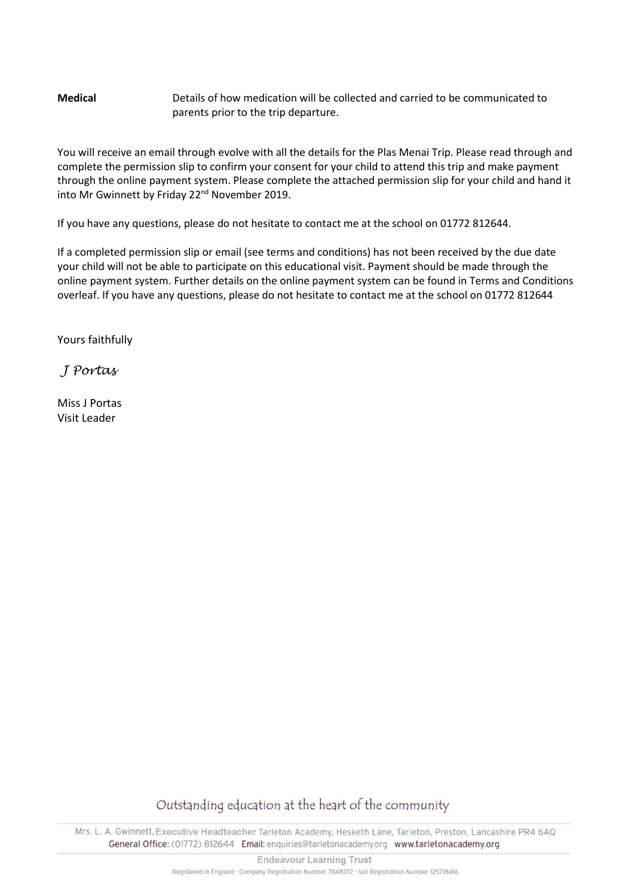## **Medical** Details of how medication will be collected and carried to be communicated to parents prior to the trip departure.

You will receive an email through evolve with all the details for the Plas Menai Trip. Please read through and complete the permission slip to confirm your consent for your child to attend this trip and make payment through the online payment system. Please complete the attached permission slip for your child and hand it into Mr Gwinnett by Friday 22<sup>nd</sup> November 2019.

If you have any questions, please do not hesitate to contact me at the school on 01772 812644.

If a completed permission slip or email (see terms and conditions) has not been received by the due date your child will not be able to participate on this educational visit. Payment should be made through the online payment system. Further details on the online payment system can be found in Terms and Conditions overleaf. If you have any questions, please do not hesitate to contact me at the school on 01772 812644

Yours faithfully

*J Portas* 

Miss J Portas Visit Leader

Outstanding education at the heart of the community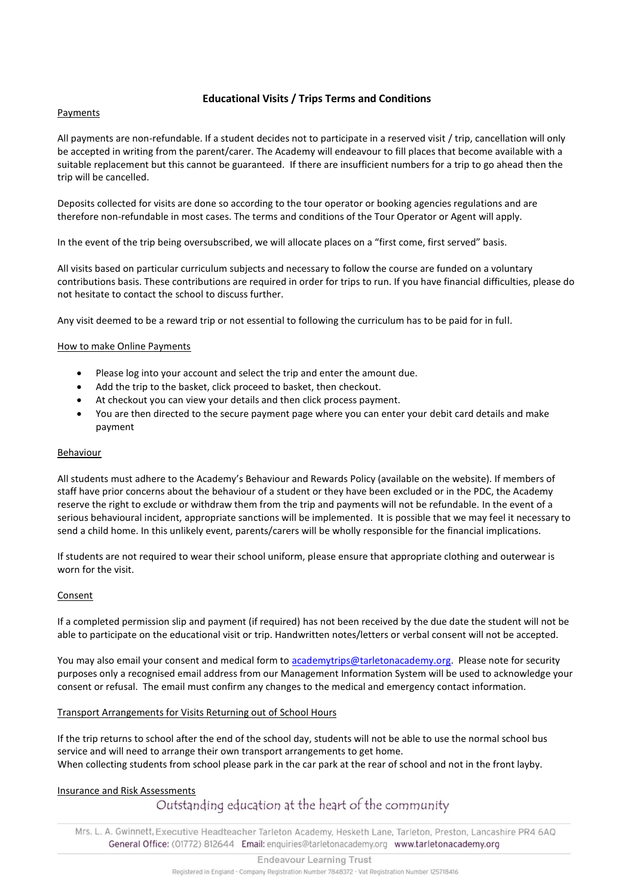### **Educational Visits / Trips Terms and Conditions**

#### Payments

All payments are non-refundable. If a student decides not to participate in a reserved visit / trip, cancellation will only be accepted in writing from the parent/carer. The Academy will endeavour to fill places that become available with a suitable replacement but this cannot be guaranteed. If there are insufficient numbers for a trip to go ahead then the trip will be cancelled.

Deposits collected for visits are done so according to the tour operator or booking agencies regulations and are therefore non-refundable in most cases. The terms and conditions of the Tour Operator or Agent will apply.

In the event of the trip being oversubscribed, we will allocate places on a "first come, first served" basis.

All visits based on particular curriculum subjects and necessary to follow the course are funded on a voluntary contributions basis. These contributions are required in order for trips to run. If you have financial difficulties, please do not hesitate to contact the school to discuss further.

Any visit deemed to be a reward trip or not essential to following the curriculum has to be paid for in full.

#### How to make Online Payments

- Please log into your account and select the trip and enter the amount due.
- Add the trip to the basket, click proceed to basket, then checkout.
- At checkout you can view your details and then click process payment.
- You are then directed to the secure payment page where you can enter your debit card details and make payment

#### Behaviour

All students must adhere to the Academy's Behaviour and Rewards Policy (available on the website). If members of staff have prior concerns about the behaviour of a student or they have been excluded or in the PDC, the Academy reserve the right to exclude or withdraw them from the trip and payments will not be refundable. In the event of a serious behavioural incident, appropriate sanctions will be implemented. It is possible that we may feel it necessary to send a child home. In this unlikely event, parents/carers will be wholly responsible for the financial implications.

If students are not required to wear their school uniform, please ensure that appropriate clothing and outerwear is worn for the visit.

#### **Consent**

If a completed permission slip and payment (if required) has not been received by the due date the student will not be able to participate on the educational visit or trip. Handwritten notes/letters or verbal consent will not be accepted.

You may also email your consent and medical form to [academytrips@tarletonacademy.org.](mailto:academytrips@tarletonacademy.org) Please note for security purposes only a recognised email address from our Management Information System will be used to acknowledge your consent or refusal. The email must confirm any changes to the medical and emergency contact information.

#### Transport Arrangements for Visits Returning out of School Hours

If the trip returns to school after the end of the school day, students will not be able to use the normal school bus service and will need to arrange their own transport arrangements to get home. When collecting students from school please park in the car park at the rear of school and not in the front layby.

#### Insurance and Risk Assessments

# Outstanding education at the heart of the community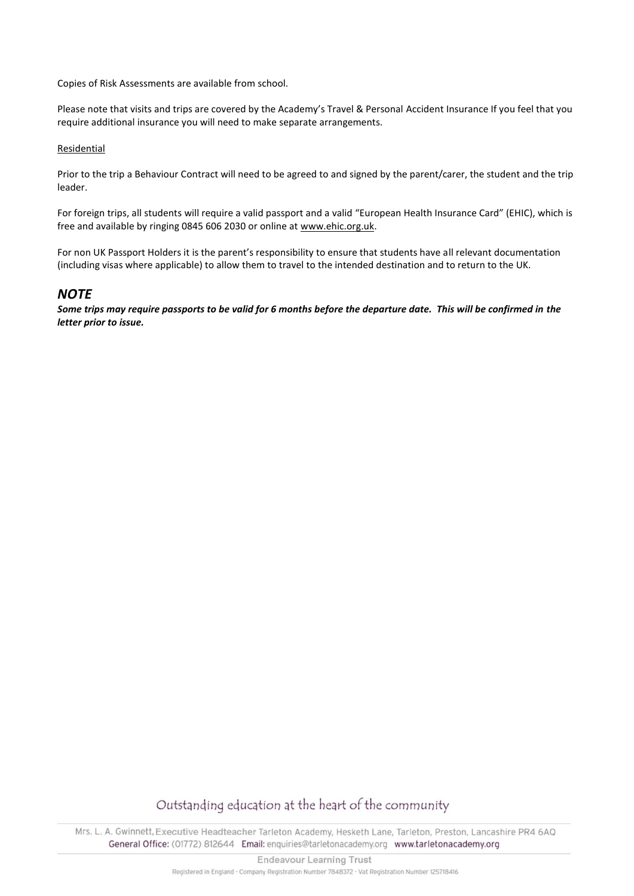Copies of Risk Assessments are available from school.

Please note that visits and trips are covered by the Academy's Travel & Personal Accident Insurance If you feel that you require additional insurance you will need to make separate arrangements.

#### Residential

Prior to the trip a Behaviour Contract will need to be agreed to and signed by the parent/carer, the student and the trip leader.

For foreign trips, all students will require a valid passport and a valid "European Health Insurance Card" (EHIC), which is free and available by ringing 0845 606 2030 or online at [www.ehic.org.uk.](http://www.ehic.org.uk/)

For non UK Passport Holders it is the parent's responsibility to ensure that students have all relevant documentation (including visas where applicable) to allow them to travel to the intended destination and to return to the UK.

## *NOTE*

*Some trips may require passports to be valid for 6 months before the departure date. This will be confirmed in the letter prior to issue.*

# Outstanding education at the heart of the community